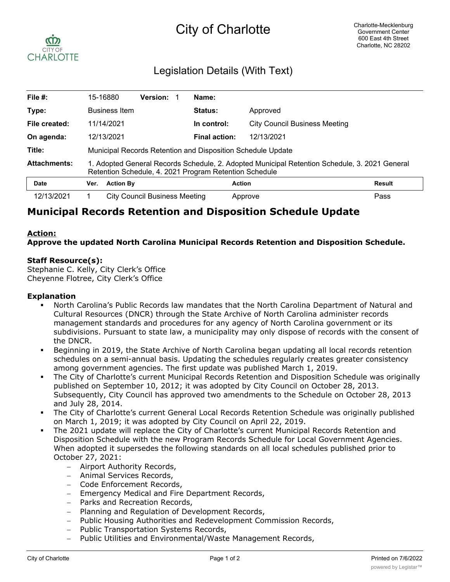

## Legislation Details (With Text)

| File $#$ :          | 15-16880                                                                                                                                                |                      | <b>Version:</b>               |  | Name:          |                                      |               |
|---------------------|---------------------------------------------------------------------------------------------------------------------------------------------------------|----------------------|-------------------------------|--|----------------|--------------------------------------|---------------|
| Type:               |                                                                                                                                                         | <b>Business Item</b> |                               |  | <b>Status:</b> | Approved                             |               |
| File created:       | 11/14/2021                                                                                                                                              |                      |                               |  | In control:    | <b>City Council Business Meeting</b> |               |
| On agenda:          | 12/13/2021                                                                                                                                              |                      |                               |  | Final action:  | 12/13/2021                           |               |
| Title:              | Municipal Records Retention and Disposition Schedule Update                                                                                             |                      |                               |  |                |                                      |               |
| <b>Attachments:</b> | 1. Adopted General Records Schedule, 2. Adopted Municipal Retention Schedule, 3. 2021 General<br>Retention Schedule, 4. 2021 Program Retention Schedule |                      |                               |  |                |                                      |               |
| <b>Date</b>         | Ver.                                                                                                                                                    | <b>Action By</b>     |                               |  | <b>Action</b>  |                                      | <b>Result</b> |
| 12/13/2021          |                                                                                                                                                         |                      | City Council Business Meeting |  |                | Approve                              | Pass          |

# **Municipal Records Retention and Disposition Schedule Update**

### **Action:**

**Approve the updated North Carolina Municipal Records Retention and Disposition Schedule.**

### **Staff Resource(s):**

Stephanie C. Kelly, City Clerk's Office Cheyenne Flotree, City Clerk's Office

### **Explanation**

- § North Carolina's Public Records law mandates that the North Carolina Department of Natural and Cultural Resources (DNCR) through the State Archive of North Carolina administer records management standards and procedures for any agency of North Carolina government or its subdivisions. Pursuant to state law, a municipality may only dispose of records with the consent of the DNCR.
- § Beginning in 2019, the State Archive of North Carolina began updating all local records retention schedules on a semi-annual basis. Updating the schedules regularly creates greater consistency among government agencies. The first update was published March 1, 2019.
- The City of Charlotte's current Municipal Records Retention and Disposition Schedule was originally published on September 10, 2012; it was adopted by City Council on October 28, 2013. Subsequently, City Council has approved two amendments to the Schedule on October 28, 2013 and July 28, 2014.
- The City of Charlotte's current General Local Records Retention Schedule was originally published on March 1, 2019; it was adopted by City Council on April 22, 2019.
- The 2021 update will replace the City of Charlotte's current Municipal Records Retention and Disposition Schedule with the new Program Records Schedule for Local Government Agencies. When adopted it supersedes the following standards on all local schedules published prior to October 27, 2021:
	- Airport Authority Records,
	- Animal Services Records,
	- Code Enforcement Records,
	- Emergency Medical and Fire Department Records,
	- Parks and Recreation Records,
	- Planning and Regulation of Development Records,
	- Public Housing Authorities and Redevelopment Commission Records,
	- Public Transportation Systems Records,
	- Public Utilities and Environmental/Waste Management Records,